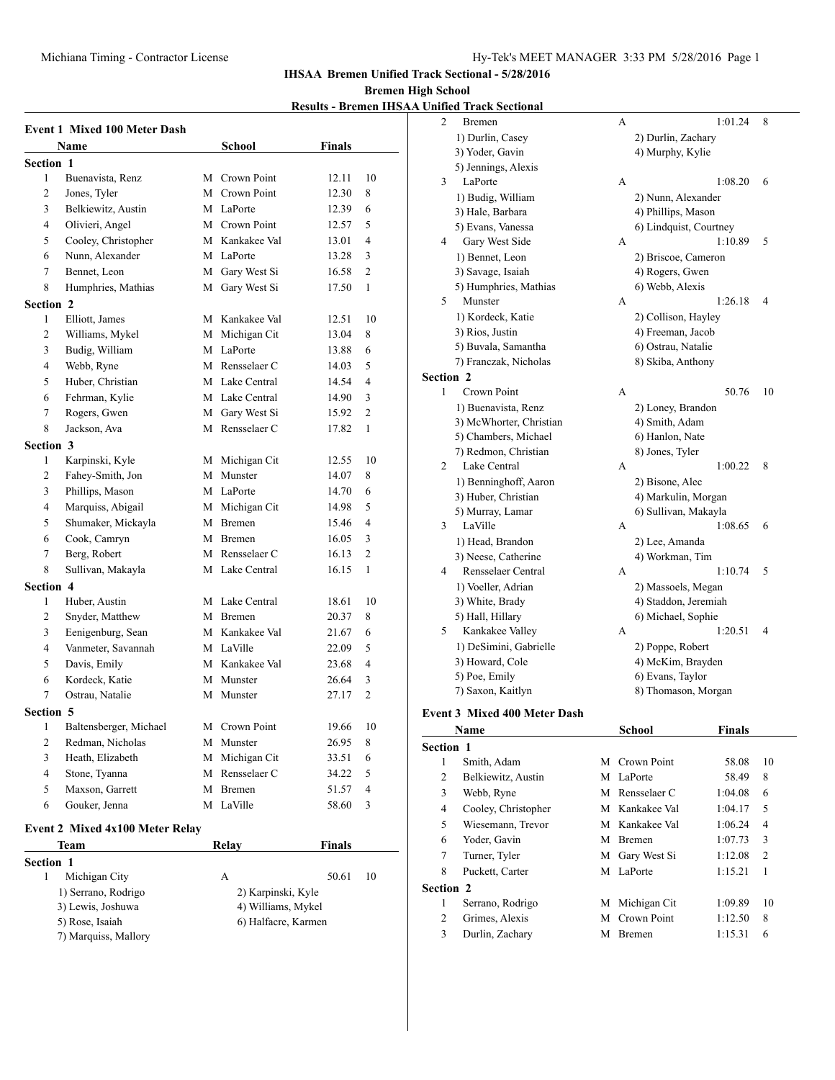**IHSAA Bremen Unified Track Sectional - 5/28/2016**

## **Bremen High School**

**Results - Bremen IHSAA Unified Track Sectional**

|                  |                                                |   |                                          | <u> Kesuits - Di'einen III. </u> |                |
|------------------|------------------------------------------------|---|------------------------------------------|----------------------------------|----------------|
|                  | <b>Event 1 Mixed 100 Meter Dash</b>            |   |                                          |                                  |                |
|                  | Name                                           |   | <b>School</b>                            | <b>Finals</b>                    |                |
| <b>Section 1</b> |                                                |   |                                          |                                  |                |
| 1                | Buenavista, Renz                               |   | M Crown Point                            | 12.11                            | 10             |
| 2                | Jones, Tyler                                   |   | M Crown Point                            | 12.30                            | 8              |
| 3                | Belkiewitz, Austin                             |   | M LaPorte                                | 12.39                            | 6              |
| 4                | Olivieri, Angel                                |   | M Crown Point                            | 12.57                            | 5              |
| 5                | Cooley, Christopher                            |   | M Kankakee Val                           | 13.01                            | 4              |
| 6                | Nunn, Alexander                                |   | M LaPorte                                | 13.28                            | 3              |
| 7                | Bennet, Leon                                   |   | M Gary West Si                           | 16.58                            | $\overline{c}$ |
| 8                | Humphries, Mathias                             |   | M Gary West Si                           | 17.50                            | 1              |
| Section 2        |                                                |   |                                          |                                  |                |
| 1                | Elliott, James                                 |   | M Kankakee Val                           | 12.51                            | 10             |
| 2                | Williams, Mykel                                |   | M Michigan Cit                           | 13.04                            | 8              |
| 3                | Budig, William                                 |   | M LaPorte                                | 13.88                            | 6              |
| 4                | Webb, Ryne                                     |   | M Rensselaer C                           | 14.03                            | 5              |
| 5                | Huber, Christian                               |   | M Lake Central                           | 14.54                            | 4              |
| 6                | Fehrman, Kylie                                 |   | M Lake Central                           | 14.90                            | 3              |
| 7                | Rogers, Gwen                                   |   | M Gary West Si                           | 15.92                            | $\overline{c}$ |
| 8                | Jackson, Ava                                   |   | M Rensselaer C                           | 17.82                            | 1              |
| Section 3        |                                                |   |                                          |                                  |                |
| 1                | Karpinski, Kyle                                |   | M Michigan Cit                           | 12.55                            | 10             |
| 2                | Fahey-Smith, Jon                               |   | M Munster                                | 14.07                            | 8              |
| 3                | Phillips, Mason                                |   | M LaPorte                                | 14.70                            | 6              |
| 4                | Marquiss, Abigail                              |   | M Michigan Cit                           | 14.98                            | 5              |
| 5                | Shumaker, Mickayla                             |   | M Bremen                                 | 15.46                            | 4              |
| 6                | Cook, Camryn                                   |   | M Bremen                                 | 16.05                            | 3              |
| 7                | Berg, Robert                                   |   | M Rensselaer C                           | 16.13                            | 2              |
| 8                | Sullivan, Makayla                              |   | M Lake Central                           | 16.15                            | $\mathbf{1}$   |
| Section 4        |                                                |   |                                          |                                  |                |
| 1                | Huber, Austin                                  |   | M Lake Central                           | 18.61                            | 10             |
| 2                | Snyder, Matthew                                |   | M Bremen                                 | 20.37                            | 8              |
| 3                | Eenigenburg, Sean                              |   | M Kankakee Val                           | 21.67                            | 6              |
| 4                | Vanmeter, Savannah                             |   | M LaVille                                | 22.09                            | 5              |
| 5                | Davis, Emily                                   |   | M Kankakee Val                           | 23.68                            | 4              |
| 6                | Kordeck, Katie                                 |   | M Munster                                | 26.64                            | 3              |
| 7                | Ostrau, Natalie                                |   | M Munster                                | 27.17                            | 2              |
| Section 5        |                                                |   |                                          |                                  |                |
| 1                | Baltensberger, Michael                         |   | M Crown Point                            | 19.66                            | 10             |
| 2                | Redman, Nicholas                               | М | Munster                                  | 26.95                            | 8              |
| 3                | Heath, Elizabeth                               | М | Michigan Cit                             | 33.51                            | 6              |
| 4                | Stone, Tyanna                                  |   | M Rensselaer C                           | 34.22                            | 5              |
| 5                | Maxson, Garrett                                | М | Bremen                                   | 51.57                            | 4              |
| 6                | Gouker, Jenna                                  |   | M LaVille                                | 58.60                            | 3              |
|                  |                                                |   |                                          |                                  |                |
|                  | <b>Event 2 Mixed 4x100 Meter Relay</b><br>Team |   | Relay                                    | <b>Finals</b>                    |                |
|                  |                                                |   |                                          |                                  |                |
| Section 1<br>1   |                                                |   |                                          | 50.61                            |                |
|                  | Michigan City<br>1) Serrano, Rodrigo           |   | А                                        |                                  | 10             |
|                  | 3) Lewis, Joshuwa                              |   | 2) Karpinski, Kyle<br>4) Williams, Mykel |                                  |                |
|                  | 5) Rose, Isaiah                                |   | 6) Halfacre, Karmen                      |                                  |                |
|                  | 7) Marquiss, Mallory                           |   |                                          |                                  |                |

| 2                | Bremen                              | А                      | 1:01.24 | 8  |
|------------------|-------------------------------------|------------------------|---------|----|
|                  | 1) Durlin, Casey                    | 2) Durlin, Zachary     |         |    |
|                  | 3) Yoder, Gavin                     | 4) Murphy, Kylie       |         |    |
|                  | 5) Jennings, Alexis                 |                        |         |    |
| 3                | LaPorte                             | А                      | 1:08.20 | 6  |
|                  | 1) Budig, William                   | 2) Nunn, Alexander     |         |    |
|                  | 3) Hale, Barbara                    | 4) Phillips, Mason     |         |    |
|                  | 5) Evans, Vanessa                   | 6) Lindquist, Courtney |         |    |
| 4                | Gary West Side                      | A                      | 1:10.89 | 5  |
|                  | 1) Bennet, Leon                     | 2) Briscoe, Cameron    |         |    |
|                  | 3) Savage, Isaiah                   | 4) Rogers, Gwen        |         |    |
|                  | 5) Humphries, Mathias               | 6) Webb, Alexis        |         |    |
| 5                | Munster                             | A                      | 1:26.18 | 4  |
|                  | 1) Kordeck, Katie                   | 2) Collison, Hayley    |         |    |
|                  | 3) Rios, Justin                     | 4) Freeman, Jacob      |         |    |
|                  | 5) Buvala, Samantha                 | 6) Ostrau, Natalie     |         |    |
|                  | 7) Franczak, Nicholas               | 8) Skiba, Anthony      |         |    |
| <b>Section 2</b> |                                     |                        |         |    |
| 1                | Crown Point                         | A                      | 50.76   | 10 |
|                  | 1) Buenavista, Renz                 | 2) Loney, Brandon      |         |    |
|                  | 3) McWhorter, Christian             | 4) Smith, Adam         |         |    |
|                  | 5) Chambers, Michael                | 6) Hanlon, Nate        |         |    |
|                  | 7) Redmon, Christian                | 8) Jones, Tyler        |         |    |
| 2                | Lake Central                        | A                      | 1:00.22 | 8  |
|                  | 1) Benninghoff, Aaron               | 2) Bisone, Alec        |         |    |
|                  | 3) Huber, Christian                 | 4) Markulin, Morgan    |         |    |
|                  | 5) Murray, Lamar                    | 6) Sullivan, Makayla   |         |    |
| 3                | LaVille                             | A                      | 1:08.65 | 6  |
|                  | 1) Head, Brandon                    | 2) Lee, Amanda         |         |    |
|                  | 3) Neese, Catherine                 | 4) Workman, Tim        |         |    |
| 4                | Rensselaer Central                  | А                      | 1:10.74 | 5  |
|                  | 1) Voeller, Adrian                  | 2) Massoels, Megan     |         |    |
|                  | 3) White, Brady                     | 4) Staddon, Jeremiah   |         |    |
|                  | 5) Hall, Hillary                    | 6) Michael, Sophie     |         |    |
| 5                | Kankakee Valley                     | A                      | 1:20.51 | 4  |
|                  | 1) DeSimini, Gabrielle              | 2) Poppe, Robert       |         |    |
|                  | 3) Howard, Cole                     | 4) McKim, Brayden      |         |    |
|                  | 5) Poe, Emily                       | 6) Evans, Taylor       |         |    |
|                  | 7) Saxon, Kaitlyn                   | 8) Thomason, Morgan    |         |    |
|                  | <b>Event 3 Mixed 400 Meter Dash</b> |                        |         |    |
|                  | Name                                | School                 | Finals  |    |
| Section 1        |                                     |                        |         |    |
| 1                | Smith, Adam                         | M Crown Point          | 58.08   | 10 |
|                  |                                     |                        |         |    |

| ivame            |                     |   | эспоог         | r mais  |                |
|------------------|---------------------|---|----------------|---------|----------------|
| <b>Section 1</b> |                     |   |                |         |                |
| 1                | Smith, Adam         |   | M Crown Point  | 58.08   | 10             |
| 2                | Belkiewitz, Austin  |   | M LaPorte      | 58.49   | 8              |
| 3                | Webb, Ryne          |   | M Rensselaer C | 1:04.08 | 6              |
| 4                | Cooley, Christopher |   | M Kankakee Val | 1:04.17 | 5              |
| 5                | Wiesemann, Trevor   |   | M Kankakee Val | 1:06.24 | $\overline{4}$ |
| 6                | Yoder, Gavin        |   | M Bremen       | 1:07.73 | 3              |
| 7                | Turner, Tyler       |   | M Gary West Si | 1:12.08 | $\overline{2}$ |
| 8                | Puckett, Carter     |   | M LaPorte      | 1:15.21 | 1              |
| <b>Section 2</b> |                     |   |                |         |                |
| 1                | Serrano, Rodrigo    |   | M Michigan Cit | 1:09.89 | 10             |
| 2                | Grimes, Alexis      |   | M Crown Point  | 1:12.50 | 8              |
| 3                | Durlin, Zachary     | M | <b>Bremen</b>  | 1:15.31 | 6              |
|                  |                     |   |                |         |                |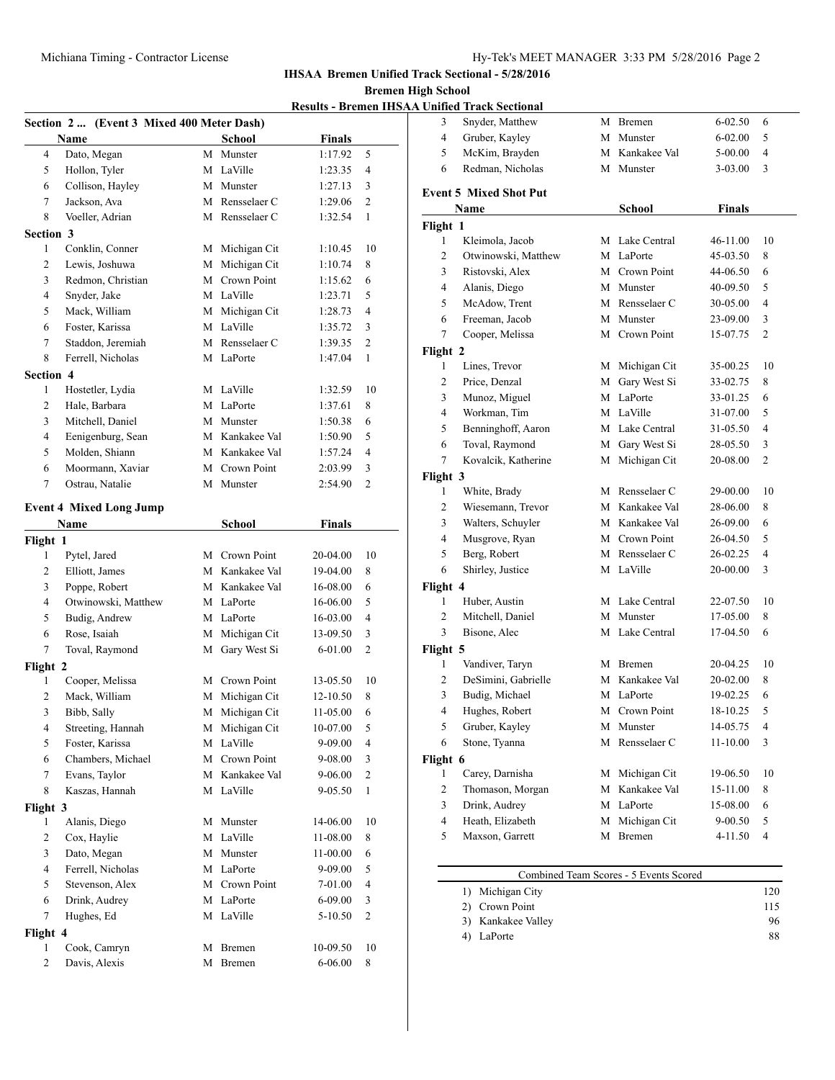**Index** Sectional - 5/28/2016

chool<br>Bremen

|                | <b>IHSAA Bremen Unified Track!</b><br><b>Bremen High Sc</b> |               |                |   |                                           |                  |
|----------------|-------------------------------------------------------------|---------------|----------------|---|-------------------------------------------|------------------|
|                | <b>Results - Bremen IHSAA Unifi</b>                         |               |                |   |                                           |                  |
| 3              |                                                             |               |                |   | Section 2  (Event 3 Mixed 400 Meter Dash) |                  |
| 4              |                                                             | <b>Finals</b> | School         |   | Name                                      |                  |
| 5              | 5                                                           | 1:17.92       | M Munster      |   | Dato, Megan                               | $\overline{4}$   |
| 6              | $\overline{4}$                                              | 1:23.35       | M LaVille      |   | Hollon, Tyler                             | 5                |
|                | 3                                                           | 1:27.13       | M Munster      |   | Collison, Hayley                          | 6                |
| Even           | 2                                                           | 1:29.06       | M Rensselaer C |   | Jackson, Ava                              | $\tau$           |
|                | 1                                                           | 1:32.54       | M Rensselaer C |   | Voeller, Adrian                           | 8                |
| Fligh          |                                                             |               |                |   |                                           | <b>Section 3</b> |
| 1              | 10                                                          | 1:10.45       | M Michigan Cit |   | Conklin, Conner                           | 1                |
| 2              | 8                                                           | 1:10.74       | M Michigan Cit |   | Lewis, Joshuwa                            | $\overline{c}$   |
| 3              | 6                                                           | 1:15.62       | M Crown Point  |   | Redmon, Christian                         | 3                |
| $\overline{4}$ | 5                                                           | 1:23.71       | M LaVille      |   | Snyder, Jake                              | $\overline{4}$   |
| 5              | $\overline{4}$                                              | 1:28.73       | M Michigan Cit |   | Mack, William                             | 5                |
| 6              | 3                                                           | 1:35.72       | M LaVille      |   | Foster, Karissa                           | 6                |
| 7              | 2                                                           | 1:39.35       | M Rensselaer C |   | Staddon, Jeremiah                         | $\tau$           |
| Fligh          | 1                                                           | 1:47.04       | M LaPorte      |   | Ferrell, Nicholas                         | 8                |
| 1              |                                                             |               |                |   |                                           | <b>Section 4</b> |
| $\overline{2}$ | 10                                                          | 1:32.59       | M LaVille      |   | Hostetler, Lydia                          | 1                |
| 3              | 8                                                           | 1:37.61       | M LaPorte      |   | Hale, Barbara                             | $\overline{2}$   |
| $\overline{4}$ | 6                                                           | 1:50.38       | M Munster      |   | Mitchell, Daniel                          | 3                |
| 5              | 5                                                           | 1:50.90       | M Kankakee Val |   | Eenigenburg, Sean                         | $\overline{4}$   |
| 6              | $\overline{4}$                                              | 1:57.24       | M Kankakee Val |   | Molden, Shiann                            | 5                |
| 7              | 3                                                           | 2:03.99       | M Crown Point  |   | Moormann, Xaviar                          | 6                |
| Fligh          | 2                                                           | 2:54.90       | M Munster      |   | Ostrau, Natalie                           | $\tau$           |
| 1              |                                                             |               |                |   |                                           |                  |
| $\overline{2}$ |                                                             |               |                |   | <b>Event 4 Mixed Long Jump</b>            |                  |
| 3              |                                                             | Finals        | School         |   |                                           | Name             |
| $\overline{4}$ |                                                             |               |                |   |                                           | Flight 1         |
| 5              | 10                                                          | 20-04.00      | M Crown Point  |   | Pytel, Jared                              | 1                |
| 6              | 8                                                           | 19-04.00      | M Kankakee Val |   | Elliott, James                            | $\overline{c}$   |
| Fligh          | 6                                                           | 16-08.00      | M Kankakee Val |   | Poppe, Robert                             | 3                |
| 1              | 5                                                           | 16-06.00      | M LaPorte      |   | Otwinowski, Matthew                       | $\overline{4}$   |
| 2              | $\overline{4}$                                              | 16-03.00      | M LaPorte      |   | Budig, Andrew                             | 5                |
| 3              | 3                                                           | 13-09.50      | M Michigan Cit |   | Rose, Isaiah                              | 6                |
| Fligh          | $\overline{c}$                                              | $6 - 01.00$   | M Gary West Si |   | Toval, Raymond                            | 7                |
| 1              |                                                             |               |                |   |                                           | Flight 2         |
| $\overline{c}$ | 10                                                          | 13-05.50      | M Crown Point  |   | Cooper, Melissa                           | 1                |
| 3              | 8                                                           | 12-10.50      | Michigan Cit   | М | Mack, William                             | $\overline{c}$   |
| $\overline{4}$ | 6                                                           | 11-05.00      | Michigan Cit   | М | Bibb, Sally                               | 3                |
| 5              | 5                                                           | 10-07.00      | Michigan Cit   | М | Streeting, Hannah                         | 4                |
| 6              | $\overline{\mathcal{A}}$                                    | 9-09.00       | M LaVille      |   | Foster, Karissa                           | 5                |
| Fligh          | 3                                                           | 9-08.00       | M Crown Point  |   | Chambers, Michael                         | 6                |
| 1              | $\overline{c}$                                              | 9-06.00       | Kankakee Val   | М | Evans, Taylor                             | 7                |
| $\overline{2}$ | 1                                                           | 9-05.50       | M LaVille      |   | Kaszas, Hannah                            | 8                |
| 3              |                                                             |               |                |   |                                           | Flight 3         |
| 4              | 10                                                          | 14-06.00      | M Munster      |   | Alanis, Diego                             | 1                |
| 5              | 8                                                           | 11-08.00      | M LaVille      |   | Cox, Haylie                               | $\overline{c}$   |
|                | 6                                                           | 11-00.00      | M Munster      |   | Dato, Megan                               | 3                |
|                | 5                                                           | 9-09.00       | M LaPorte      |   | Ferrell, Nicholas                         | $\overline{4}$   |
|                | $\overline{\mathcal{A}}$                                    | 7-01.00       | M Crown Point  |   | Stevenson, Alex                           | 5                |
|                | 3                                                           | $6 - 09.00$   | M LaPorte      |   | Drink, Audrey                             | 6                |
|                | $\mathbf{2}$                                                | 5-10.50       | M LaVille      |   | Hughes, Ed                                | 7                |
|                |                                                             |               |                |   |                                           | Flight 4         |
|                |                                                             | 10-09.50      | Bremen         | М | Cook, Camryn                              | 1                |
|                | 10<br>8                                                     | 6-06.00       | M Bremen       |   | Davis, Alexis                             | 2                |

|                | <b>Unified Track Sectional</b> |   |                |               |                |
|----------------|--------------------------------|---|----------------|---------------|----------------|
| 3              | Snyder, Matthew                | М | Bremen         | 6-02.50       | 6              |
| 4              | Gruber, Kayley                 | М | Munster        | 6-02.00       | 5              |
| 5              | McKim, Brayden                 |   | M Kankakee Val | 5-00.00       | 4              |
| 6              | Redman, Nicholas               | М | Munster        | $3-03.00$     | 3              |
|                | <b>Event 5 Mixed Shot Put</b>  |   |                |               |                |
|                | Name                           |   | <b>School</b>  | <b>Finals</b> |                |
| Flight 1       |                                |   |                |               |                |
| 1              | Kleimola, Jacob                |   | M Lake Central | 46-11.00      | 10             |
| $\overline{c}$ | Otwinowski, Matthew            |   | M LaPorte      | 45-03.50      | 8              |
| 3              | Ristovski, Alex                |   | M Crown Point  | 44-06.50      | 6              |
| $\overline{4}$ | Alanis, Diego                  |   | M Munster      | 40-09.50      | 5              |
| 5              | McAdow, Trent                  |   | M Rensselaer C | 30-05.00      | 4              |
| 6              | Freeman, Jacob                 | М | Munster        | 23-09.00      | 3              |
| 7              | Cooper, Melissa                | M | Crown Point    | 15-07.75      | $\overline{2}$ |
| Flight 2       |                                |   |                |               |                |
| 1              | Lines, Trevor                  |   | M Michigan Cit | 35-00.25      | 10             |
| 2              | Price, Denzal                  | M | Gary West Si   | 33-02.75      | 8              |
| 3              | Munoz, Miguel                  |   | M LaPorte      | 33-01.25      | 6              |
| 4              | Workman, Tim                   |   | M LaVille      | 31-07.00      | 5              |
| 5              | Benninghoff, Aaron             |   | M Lake Central | 31-05.50      | $\overline{4}$ |
| 6              | Toval, Raymond                 |   | M Gary West Si | 28-05.50      | 3              |
| 7              | Kovalcik, Katherine            |   | M Michigan Cit | 20-08.00      | 2              |
| Flight 3       |                                |   |                |               |                |
| 1              | White, Brady                   |   | M Rensselaer C | 29-00.00      | 10             |
| 2              | Wiesemann, Trevor              |   | M Kankakee Val | 28-06.00      | 8              |
| 3              | Walters, Schuyler              |   | M Kankakee Val | 26-09.00      | 6              |
| $\overline{4}$ | Musgrove, Ryan                 | М | Crown Point    | 26-04.50      | 5              |
| 5              | Berg, Robert                   |   | M Rensselaer C | 26-02.25      | 4              |
| 6              | Shirley, Justice               |   | M LaVille      | 20-00.00      | 3              |
| Flight 4       |                                |   |                |               |                |
| 1              | Huber, Austin                  |   | M Lake Central | 22-07.50      | 10             |
| 2              | Mitchell, Daniel               |   | M Munster      | 17-05.00      | 8              |
| 3              | Bisone, Alec                   |   | M Lake Central | 17-04.50      | 6              |
| Flight 5       |                                |   |                |               |                |
| 1              | Vandiver, Taryn                |   | M Bremen       | 20-04.25      | 10             |
| 2              | DeSimini, Gabrielle            | М | Kankakee Val   | 20-02.00      | 8              |
| 3              | Budig, Michael                 |   | M LaPorte      | 19-02.25      | 6              |
| 4              | Hughes, Robert                 | М | Crown Point    | 18-10.25      | 5              |
| 5              | Gruber, Kayley                 | М | Munster        | 14-05.75      | 4              |
| 6              | Stone, Tyanna                  |   | M Rensselaer C | $11 - 10.00$  | 3              |
| Flight 6       |                                |   |                |               |                |
| 1              | Carey, Darnisha                |   | M Michigan Cit | 19-06.50      | 10             |
| $\overline{c}$ | Thomason, Morgan               |   | M Kankakee Val | 15-11.00      | 8              |
| 3              | Drink, Audrey                  |   | M LaPorte      | 15-08.00      | 6              |
| $\overline{4}$ | Heath, Elizabeth               |   | M Michigan Cit | 9-00.50       | 5              |
| 5              | Maxson, Garrett                |   | M Bremen       | 4-11.50       | 4              |

| Combined Team Scores - 5 Events Scored |     |  |  |  |  |
|----------------------------------------|-----|--|--|--|--|
| 1) Michigan City                       | 120 |  |  |  |  |
| 2) Crown Point                         | 115 |  |  |  |  |
| 3) Kankakee Valley                     | 96  |  |  |  |  |
| LaPorte                                | 88  |  |  |  |  |